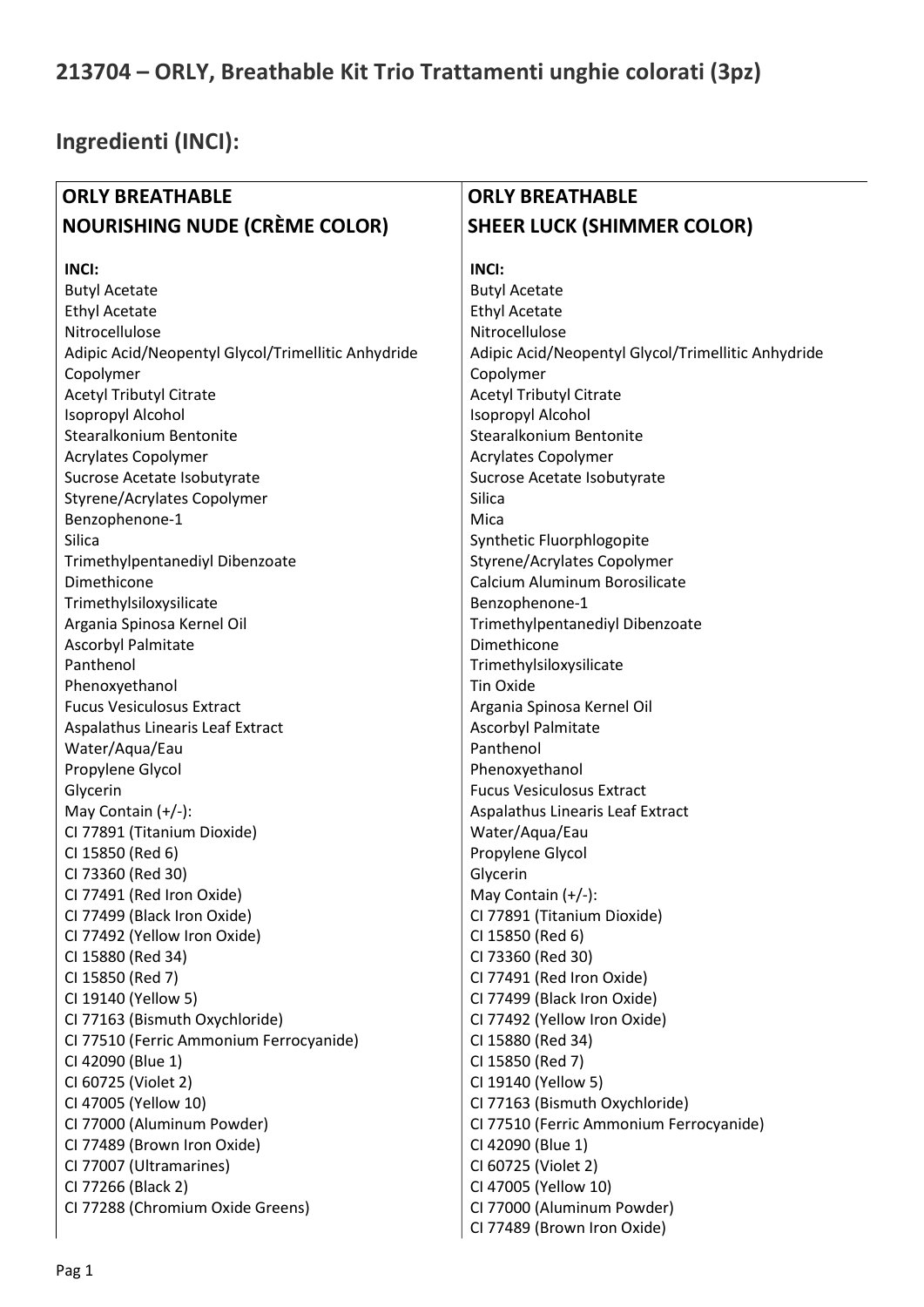## 213704 – ORLY, Breathable Kit Trio Trattamenti unghie colorati (3pz)

## Ingredienti (INCI):

| <b>ORLY BREATHABLE</b>                             | <b>ORLY BREATHABLE</b>                             |
|----------------------------------------------------|----------------------------------------------------|
| <b>NOURISHING NUDE (CRÈME COLOR)</b>               | <b>SHEER LUCK (SHIMMER COLOR)</b>                  |
| <b>INCI:</b>                                       | <b>INCI:</b>                                       |
| <b>Butyl Acetate</b>                               | <b>Butyl Acetate</b>                               |
| <b>Ethyl Acetate</b>                               | <b>Ethyl Acetate</b>                               |
| Nitrocellulose                                     | Nitrocellulose                                     |
| Adipic Acid/Neopentyl Glycol/Trimellitic Anhydride | Adipic Acid/Neopentyl Glycol/Trimellitic Anhydride |
| Copolymer                                          | Copolymer                                          |
| <b>Acetyl Tributyl Citrate</b>                     | <b>Acetyl Tributyl Citrate</b>                     |
| Isopropyl Alcohol                                  | Isopropyl Alcohol                                  |
| Stearalkonium Bentonite                            | Stearalkonium Bentonite                            |
| <b>Acrylates Copolymer</b>                         | Acrylates Copolymer                                |
| Sucrose Acetate Isobutyrate                        | Sucrose Acetate Isobutyrate                        |
| Styrene/Acrylates Copolymer                        | Silica                                             |
| Benzophenone-1                                     | Mica                                               |
| Silica                                             | Synthetic Fluorphlogopite                          |
| Trimethylpentanediyl Dibenzoate                    | Styrene/Acrylates Copolymer                        |
| Dimethicone                                        | Calcium Aluminum Borosilicate                      |
| Trimethylsiloxysilicate                            | Benzophenone-1                                     |
| Argania Spinosa Kernel Oil                         | Trimethylpentanediyl Dibenzoate                    |
| <b>Ascorbyl Palmitate</b>                          | Dimethicone                                        |
| Panthenol                                          | Trimethylsiloxysilicate                            |
| Phenoxyethanol                                     | <b>Tin Oxide</b>                                   |
| <b>Fucus Vesiculosus Extract</b>                   | Argania Spinosa Kernel Oil                         |
| Aspalathus Linearis Leaf Extract                   | Ascorbyl Palmitate                                 |
| Water/Aqua/Eau                                     | Panthenol                                          |
| Propylene Glycol                                   | Phenoxyethanol                                     |
| Glycerin                                           | <b>Fucus Vesiculosus Extract</b>                   |
| May Contain (+/-):                                 | Aspalathus Linearis Leaf Extract                   |
| Cl 77891 (Titanium Dioxide)                        | Water/Aqua/Eau                                     |
| CI 15850 (Red 6)                                   | Propylene Glycol                                   |
| CI 73360 (Red 30)                                  | Glycerin                                           |
| CI 77491 (Red Iron Oxide)                          | May Contain $(+/-)$ :                              |
| CI 77499 (Black Iron Oxide)                        | Cl 77891 (Titanium Dioxide)                        |
| CI 77492 (Yellow Iron Oxide)                       | CI 15850 (Red 6)                                   |
| CI 15880 (Red 34)                                  | CI 73360 (Red 30)                                  |
| CI 15850 (Red 7)                                   | CI 77491 (Red Iron Oxide)                          |
| CI 19140 (Yellow 5)                                | CI 77499 (Black Iron Oxide)                        |
| CI 77163 (Bismuth Oxychloride)                     | CI 77492 (Yellow Iron Oxide)                       |
| CI 77510 (Ferric Ammonium Ferrocyanide)            | CI 15880 (Red 34)                                  |
| CI 42090 (Blue 1)                                  | CI 15850 (Red 7)                                   |
| CI 60725 (Violet 2)                                | CI 19140 (Yellow 5)                                |
| CI 47005 (Yellow 10)                               | CI 77163 (Bismuth Oxychloride)                     |
| CI 77000 (Aluminum Powder)                         | CI 77510 (Ferric Ammonium Ferrocyanide)            |
| CI 77489 (Brown Iron Oxide)                        | CI 42090 (Blue 1)                                  |
| CI 77007 (Ultramarines)                            | CI 60725 (Violet 2)                                |
| CI 77266 (Black 2)                                 | CI 47005 (Yellow 10)                               |
| CI 77288 (Chromium Oxide Greens)                   | CI 77000 (Aluminum Powder)                         |
|                                                    | CI 77489 (Brown Iron Oxide)                        |